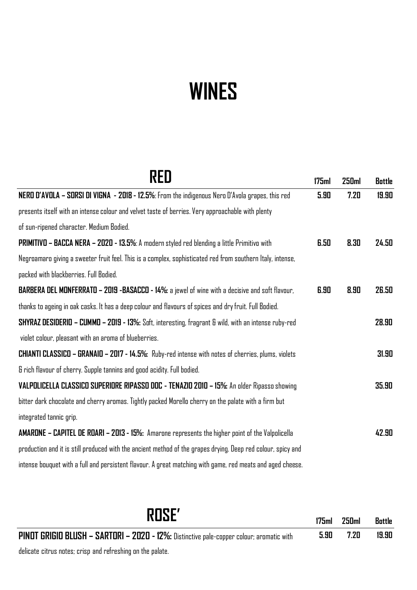## **WINES**

| RFN                                                                                                          | 175ml | 250ml | <b>Bottle</b> |
|--------------------------------------------------------------------------------------------------------------|-------|-------|---------------|
| NERO D'AVOLA - SORSI DI VIGNA - 2018 - 12.5%: From the indigenous Nero D'Avola grapes, this red              | 5.90  | 7.20  | 19.90         |
| presents itself with an intense colour and velvet taste of berries. Very approachable with plenty            |       |       |               |
| of sun-ripened character. Medium Bodied.                                                                     |       |       |               |
| PRIMITIVO - BACCA NERA - 2020 - 13.5%: A modern styled red blending a little Primitivo with                  | 6.50  | 8.30  | 24.50         |
| Negroamaro giving a sweeter fruit feel. This is a complex, sophisticated red from southern Italy, intense,   |       |       |               |
| packed with blackberries. Full Bodied.                                                                       |       |       |               |
| BARBERA DEL MONFERRATO - 2019 -BASACCO - 14%: a jewel of wine with a decisive and soft flavour,              | 6.90  | 8.90  | 26.50         |
| thanks to ageing in oak casks. It has a deep colour and flavours of spices and dry fruit. Full Bodied.       |       |       |               |
| SHYRAZ DESIDERIO - CUMMO - 2019 - 13%: Soft, interesting, fragrant & wild, with an intense ruby-red          |       |       | 28.90         |
| violet colour, pleasant with an aroma of blueberries.                                                        |       |       |               |
| <b>CHIANTI CLASSICO - GRANAIO - 2017 - 14.5%:</b> Ruby-red intense with notes of cherries, plums, violets    |       |       | 31.90         |
| & rich flavour of cherry. Supple tannins and good acidity. Full bodied.                                      |       |       |               |
| VALPOLICELLA CLASSICO SUPERIORE RIPASSO DOC - TENAZIO 2010 - 15%: An older Ripasso showing                   |       |       | 35.90         |
| bitter dark chocolate and cherry aromas. Tightly packed Morello cherry on the palate with a firm but         |       |       |               |
| integrated tannic grip.                                                                                      |       |       |               |
| <b>AMARONE - CAPITEL DE ROARI - 2013 - 15%:</b> Amarone represents the higher point of the Valpolicella      |       |       | 42.90         |
| production and it is still produced with the ancient method of the grapes drying. Deep red colour, spicy and |       |       |               |
| intense bouquet with a full and persistent flavour. A great matching with game, red meats and aged cheese.   |       |       |               |

**ROSE' 175ml 250ml Bottle PINOT GRIGIO BLUSH – SARTORI – 2020 - 12%:** Distinctive pale-copper colour; aromatic with **5.90 7.20 19.90**

delicate citrus notes; crisp and refreshing on the palate.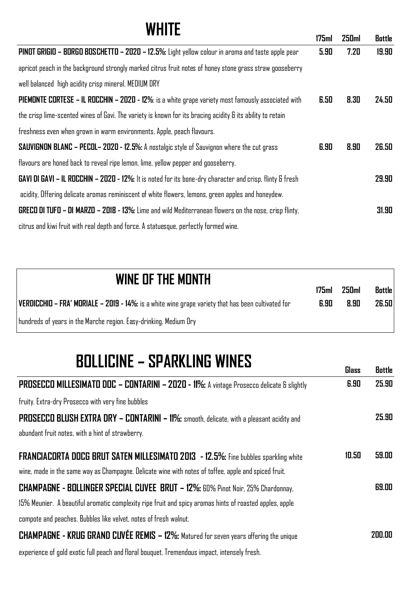| <b>WHITE</b>                                                                                                 |       |              |        |
|--------------------------------------------------------------------------------------------------------------|-------|--------------|--------|
|                                                                                                              | 175ml | <b>250ml</b> | Bottle |
| PINOT GRIGIO - BORGO BOSCHETTO - 2020 - 12.5%: Light yellow colour in aroma and taste apple pear             | 5.90  | 7.20         | 19.90  |
| apricot peach in the background strongly marked citrus fruit notes of honey stone grass straw gooseberry     |       |              |        |
| well balanced high acidity crisp mineral. MEDIUM DRY                                                         |       |              |        |
| PIEMONTE CORTESE - IL ROCCHIN - 2020 - 12%: is a white grape variety most famously associated with           | 6.50  | 8.30         | 24.50  |
| the crisp lime-scented wines of Gavi. The variety is known for its bracing acidity & its ability to retain   |       |              |        |
| freshness even when grown in warm environments. Apple, peach flavours.                                       |       |              |        |
| <b>SAUVIGNON BLANC - PECOL- 2020 - 12.5%:</b> A nostalgic style of Sauvignon where the cut grass             | 6.90  | 8.90         | 26.50  |
| flavours are honed back to reveal ripe lemon, lime, yellow pepper and gooseberry.                            |       |              |        |
| GAVI DI GAVI - IL ROCCHIN - 2020 - 12%: It is noted for its bone-dry character and crisp, flinty & fresh     |       |              | 29.90  |
| acidity, Offering delicate aromas reminiscent of white flowers, lemons, green apples and honeydew.           |       |              |        |
| <b>GRECO DI TUFO - DI MARZO - 2018 - 13%:</b> Lime and wild Mediterranean flowers on the nose, crisp flinty, |       |              | 31.90  |
| citrus and kiwi fruit with real depth and force. A statuesque, perfectly formed wine.                        |       |              |        |

| WINE OF THE MONTH                                                                                         |      | 250 <sub>m</sub> | <b>Bottle</b> |
|-----------------------------------------------------------------------------------------------------------|------|------------------|---------------|
| <b>VERDICCHIO - FRA' MORIALE - 2019 - 14%:</b> is a white wine grape variety that has been cultivated for | 6.90 | 8.90             | 26.50         |
| hundreds of years in the Marche region. Easy-drinking. Medium Dry                                         |      |                  |               |

## **BOLLICINE – SPARKLING WINES Glass Bottle**

|                                                                                                         | шаээ  | <b>UULLIC</b> |
|---------------------------------------------------------------------------------------------------------|-------|---------------|
| <b>PROSECCO MILLESIMATO DOC - CONTARINI - 2020 - 11%:</b> A vintage Prosecco delicate & slightly        | 6.90  | 25.90         |
| fruity. Extra-dry Prosecco with very fine bubbles                                                       |       |               |
| <b>PROSECCO BLUSH EXTRA DRY - CONTARINI - 11%:</b> smooth, delicate, with a pleasant acidity and        |       | 25.90         |
| abundant fruit notes, with a hint of strawberry.                                                        |       |               |
| <b>FRANCIACORTA DOCG BRUT SATEN MILLESIMATO 2013 - 12.5%:</b> Fine bubbles sparkling white              | 10.50 | 59.00         |
| wine, made in the same way as Champagne. Delicate wine with notes of toffee, apple and spiced fruit.    |       |               |
| <b>CHAMPAGNE - BOLLINGER SPECIAL CUVEE BRUT - 12%:</b> 60% Pinot Noir, 25% Chardonnay,                  |       | 69.00         |
| 15% Meunier. A beautiful aromatic complexity ripe fruit and spicy aromas hints of roasted apples, apple |       |               |
| compote and peaches. Bubbles like velvet, notes of fresh walnut.                                        |       |               |
| <b>CHAMPAGNE - KRUG GRAND CUVÉE REMIS - 12%:</b> Matured for seven years offering the unique            |       | 200.00        |
| experience of gold exotic full peach and floral bouquet. Tremendous impact, intensely fresh.            |       |               |